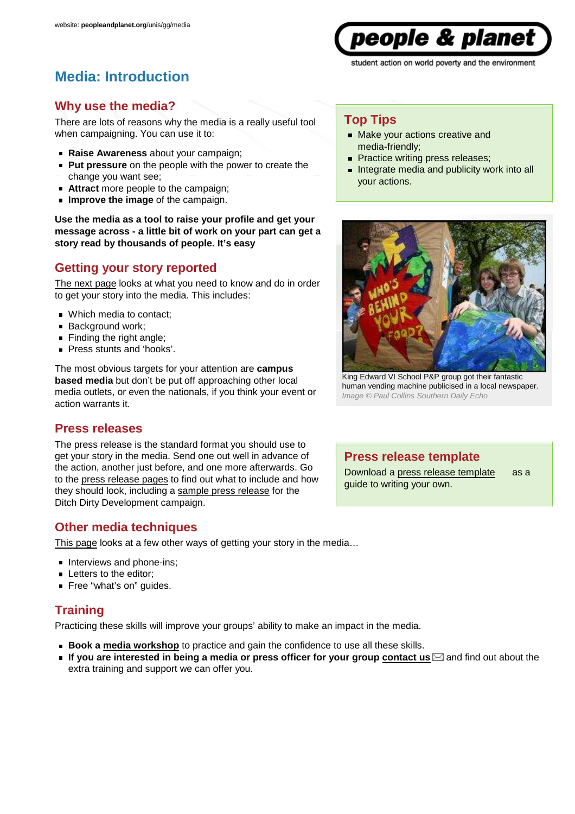**Media: Introduction**

### **Why use the media?**

There are lots of reasons why the media is a really useful tool when campaigning. You can use it to:

- **Raise Awareness** about your campaign;
- **Put pressure** on the people with the power to create the change you want see;
- **Attract** more people to the campaign;
- **Improve the image** of the campaign.

**Use the media as a tool to raise your profile and get your message across - a little bit of work on your part can get a story read by thousands of people. It's easy**

### **Getting your story reported**

The next page looks at what you need to know and do in order to get your story into the media. This includes:

- Which media to contact;
- Background work;
- $\blacksquare$  Finding the right angle;
- **Press stunts and 'hooks'.**

The most obvious targets for your attention are **campus based media** but don't be put off approaching other local media outlets, or even the nationals, if you think your event or action warrants it.

### **Press releases**

The press release is the standard format you should use to get your story in the media. Send one out well in advance of the action, another just before, and one more afterwards. Go to the press release pages to find out what to include and how they should look, including a sample press release for the Ditch Dirty Development campaign.

### **Other media techniques**

This page looks at a few other ways of getting your story in the media…

- Interviews and phone-ins:
- **Letters to the editor;**
- Free "what's on" guides.

### **Training**

Practicing these skills will improve your groups' ability to make an impact in the media.

- **Book a media workshop** to practice and gain the confidence to use all these skills.
- **If you are interested in being a media or press officer for your group contact us**  $\boxtimes$  **and find out about the** extra training and support we can offer you.

### **Top Tips**

- Make your actions creative and media-friendly;
- Practice writing press releases;
- Integrate media and publicity work into all your actions.



King Edward VI School P&P group got their fantastic human vending machine publicised in a local newspaper. Image © Paul Collins Southern Daily Echo

### **Press release template**

Download a press release template as a guide to writing your own.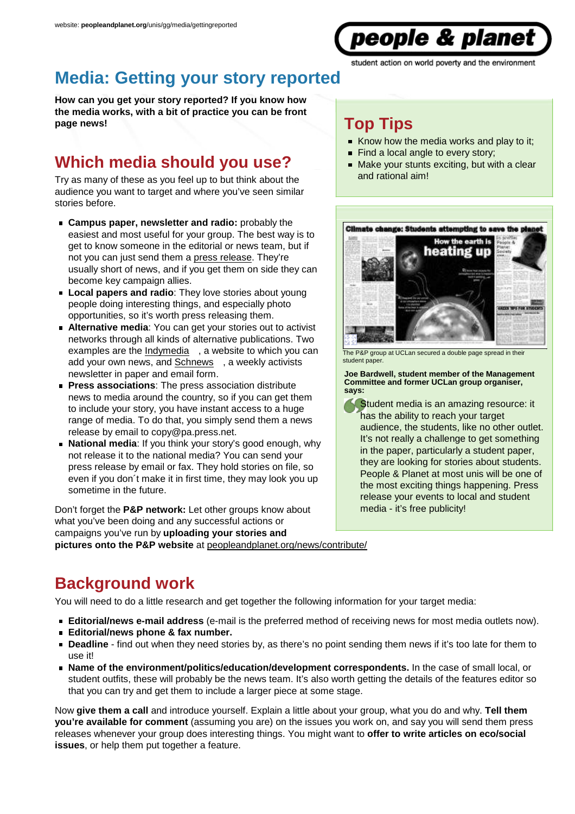

# **Media: Getting your story reported**

**How can you get your story reported? If you know how the media works, with a bit of practice you can be front page news!**

# **Which media should you use?**

Try as many of these as you feel up to but think about the audience you want to target and where you've seen similar stories before.

- **Campus paper, newsletter and radio:** probably the easiest and most useful for your group. The best way is to get to know someone in the editorial or news team, but if not you can just send them a press release. They're usually short of news, and if you get them on side they can become key campaign allies.
- **Local papers and radio**: They love stories about young people doing interesting things, and especially photo opportunities, so it's worth press releasing them.
- **Alternative media:** You can get your stories out to activist networks through all kinds of alternative publications. Two examples are the Indymedia , a website to which you can add your own news, and Schnews , a weekly activists newsletter in paper and email form.
- **Press associations:** The press association distribute news to media around the country, so if you can get them to include your story, you have instant access to a huge range of media. To do that, you simply send them a news release by email to copy@pa.press.net.
- **National media:** If you think your story's good enough, why not release it to the national media? You can send your press release by email or fax. They hold stories on file, so even if you don´t make it in first time, they may look you up sometime in the future.

Don't forget the **P&P network:** Let other groups know about what you've been doing and any successful actions or campaigns you've run by **uploading your stories and pictures onto the P&P website** at peopleandplanet.org/news/contribute/

# **Top Tips**

- Know how the media works and play to it:
- Find a local angle to every story;
- Make your stunts exciting, but with a clear and rational aim!



The P&P group at UCLan secured a double page spread in their student paper.

**Joe Bardwell, student member of the Management Committee and former UCLan group organiser, says:**

Student media is an amazing resource: it has the ability to reach your target audience, the students, like no other outlet. It's not really a challenge to get something in the paper, particularly a student paper, they are looking for stories about students. People & Planet at most unis will be one of the most exciting things happening. Press release your events to local and student media - it's free publicity!

# **Background work**

You will need to do a little research and get together the following information for your target media:

- **Editorial/news e-mail address** (e-mail is the preferred method of receiving news for most media outlets now).
- **Editorial/news phone & fax number.**
- **Deadline** find out when they need stories by, as there's no point sending them news if it's too late for them to use it!
- **Name of the environment/politics/education/development correspondents.** In the case of small local, or student outfits, these will probably be the news team. It's also worth getting the details of the features editor so that you can try and get them to include a larger piece at some stage.

Now **give them a call** and introduce yourself. Explain a little about your group, what you do and why. **Tell them you're available for comment** (assuming you are) on the issues you work on, and say you will send them press releases whenever your group does interesting things. You might want to **offer to write articles on eco/social issues**, or help them put together a feature.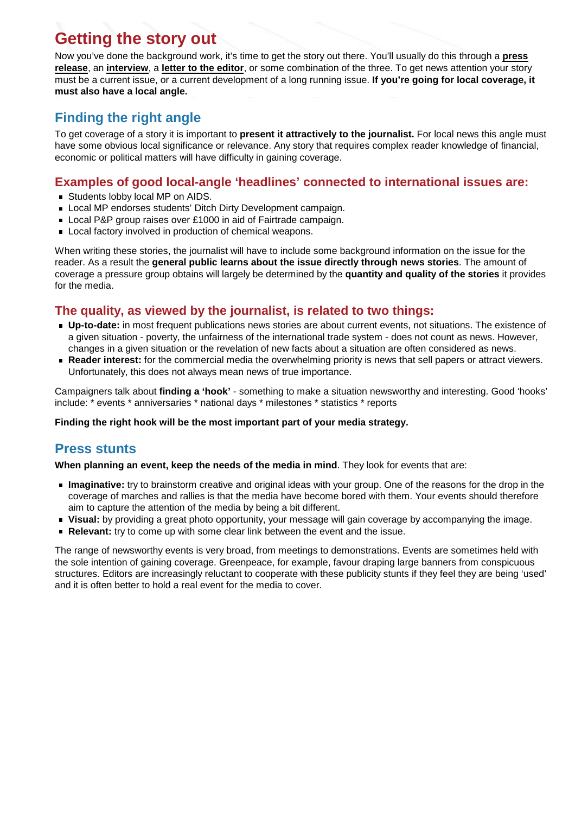# **Getting the story out**

Now you've done the background work, it's time to get the story out there. You'll usually do this through a **press release**, an **interview**, a **letter to the editor**, or some combination of the three. To get news attention your story must be a current issue, or a current development of a long running issue. **If you're going for local coverage, it must also have a local angle.**

### **Finding the right angle**

To get coverage of a story it is important to **present it attractively to the journalist.** For local news this angle must have some obvious local significance or relevance. Any story that requires complex reader knowledge of financial, economic or political matters will have difficulty in gaining coverage.

### **Examples of good local-angle 'headlines' connected to international issues are:**

- Students lobby local MP on AIDS.
- Local MP endorses students' Ditch Dirty Development campaign.
- Local P&P group raises over £1000 in aid of Fairtrade campaign.
- Local factory involved in production of chemical weapons.

When writing these stories, the journalist will have to include some background information on the issue for the reader. As a result the **general public learns about the issue directly through news stories**. The amount of coverage a pressure group obtains will largely be determined by the **quantity and quality of the stories** it provides for the media.

### **The quality, as viewed by the journalist, is related to two things:**

- **Up-to-date:** in most frequent publications news stories are about current events, not situations. The existence of a given situation - poverty, the unfairness of the international trade system - does not count as news. However, changes in a given situation or the revelation of new facts about a situation are often considered as news.
- **Reader interest:** for the commercial media the overwhelming priority is news that sell papers or attract viewers. Unfortunately, this does not always mean news of true importance.

Campaigners talk about **finding a 'hook'** - something to make a situation newsworthy and interesting. Good 'hooks' include: \* events \* anniversaries \* national days \* milestones \* statistics \* reports

#### **Finding the right hook will be the most important part of your media strategy.**

### **Press stunts**

**When planning an event, keep the needs of the media in mind**. They look for events that are:

- **Imaginative:** try to brainstorm creative and original ideas with your group. One of the reasons for the drop in the coverage of marches and rallies is that the media have become bored with them. Your events should therefore aim to capture the attention of the media by being a bit different.
- **Visual:** by providing a great photo opportunity, your message will gain coverage by accompanying the image.
- **Relevant:** try to come up with some clear link between the event and the issue.

The range of newsworthy events is very broad, from meetings to demonstrations. Events are sometimes held with the sole intention of gaining coverage. Greenpeace, for example, favour draping large banners from conspicuous structures. Editors are increasingly reluctant to cooperate with these publicity stunts if they feel they are being 'used' and it is often better to hold a real event for the media to cover.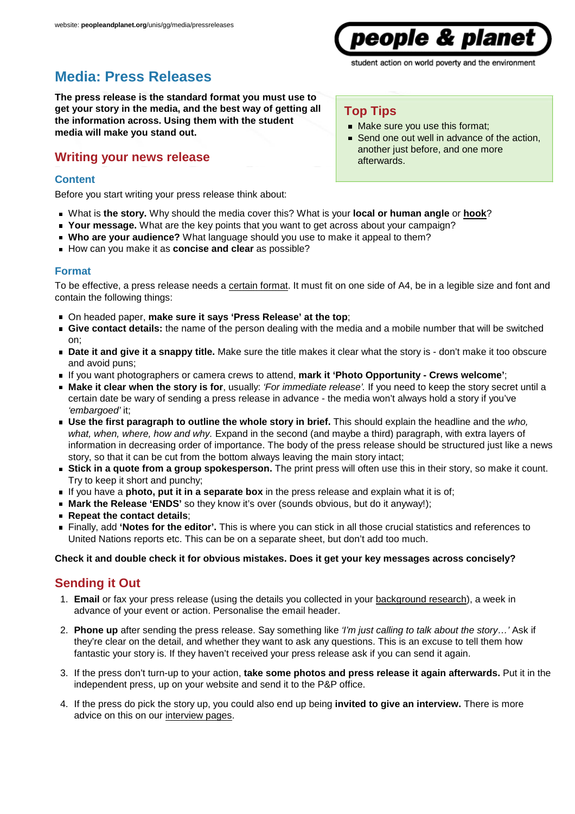# **Media: Press Releases**

**The press release is the standard format you must use to get your story in the media, and the best way of getting all the information across. Using them with the student media will make you stand out.**

### **Writing your news release**

#### **Content**

Before you start writing your press release think about:

- What is **the story.** Why should the media cover this? What is your **local or human angle** or **hook**?
- **Your message.** What are the key points that you want to get across about your campaign?
- **Who are your audience?** What language should you use to make it appeal to them?
- How can you make it as **concise and clear** as possible?

#### **Format**

To be effective, a press release needs a certain format. It must fit on one side of A4, be in a legible size and font and contain the following things:

- On headed paper, **make sure it says 'Press Release' at the top**;
- **Give contact details:** the name of the person dealing with the media and a mobile number that will be switched on;
- **Date it and give it a snappy title.** Make sure the title makes it clear what the story is don't make it too obscure and avoid puns;
- If you want photographers or camera crews to attend, **mark it 'Photo Opportunity Crews welcome'**;
- **Make it clear when the story is for**, usually: 'For immediate release'. If you need to keep the story secret until a certain date be wary of sending a press release in advance - the media won't always hold a story if you've 'embargoed' it;
- **Use the first paragraph to outline the whole story in brief.** This should explain the headline and the who, what, when, where, how and why. Expand in the second (and maybe a third) paragraph, with extra layers of information in decreasing order of importance. The body of the press release should be structured just like a news story, so that it can be cut from the bottom always leaving the main story intact;
- **Stick in a quote from a group spokesperson.** The print press will often use this in their story, so make it count. Try to keep it short and punchy;
- If you have a **photo, put it in a separate box** in the press release and explain what it is of;
- **Mark the Release 'ENDS'** so they know it's over (sounds obvious, but do it anyway!);
- **Repeat the contact details**;
- Finally, add **'Notes for the editor'.** This is where you can stick in all those crucial statistics and references to United Nations reports etc. This can be on a separate sheet, but don't add too much.

#### **Check it and double check it for obvious mistakes. Does it get your key messages across concisely?**

### **Sending it Out**

- **Email** or fax your press release (using the details you collected in your background research), a week in 1. advance of your event or action. Personalise the email header.
- 2. Phone up after sending the press release. Say something like *'I'm just calling to talk about the story...*' Ask if they're clear on the detail, and whether they want to ask any questions. This is an excuse to tell them how fantastic your story is. If they haven't received your press release ask if you can send it again.
- If the press don't turn-up to your action, **take some photos and press release it again afterwards.** Put it in the 3. independent press, up on your website and send it to the P&P office.
- 4. If the press do pick the story up, you could also end up being **invited to give an interview.** There is more advice on this on our interview pages.

### **Top Tips**

- Make sure you use this format;
- Send one out well in advance of the action, another just before, and one more afterwards.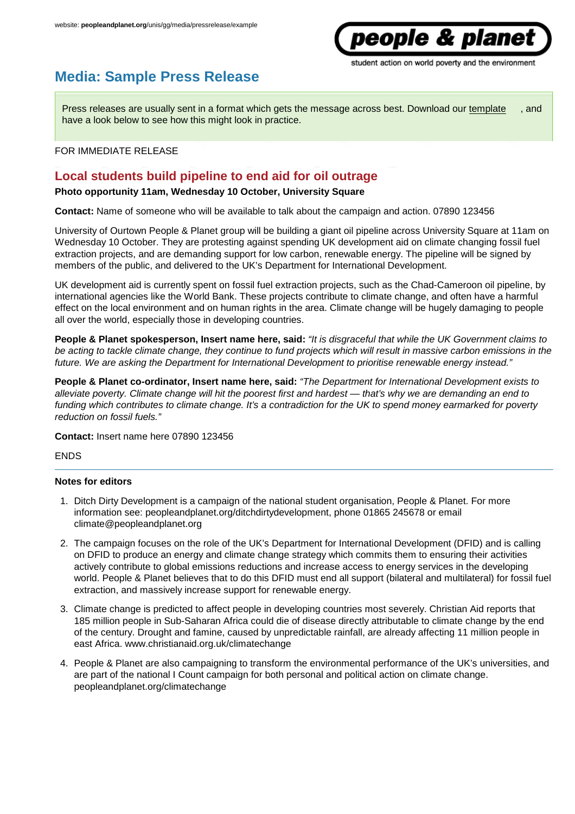# *people & planet*

student action on world poverty and the environment

## **Media: Sample Press Release**

Press releases are usually sent in a format which gets the message across best. Download our template , and have a look below to see how this might look in practice.

#### FOR IMMEDIATE RELEASE

### **Local students build pipeline to end aid for oil outrage**

#### **Photo opportunity 11am, Wednesday 10 October, University Square**

**Contact:** Name of someone who will be available to talk about the campaign and action. 07890 123456

University of Ourtown People & Planet group will be building a giant oil pipeline across University Square at 11am on Wednesday 10 October. They are protesting against spending UK development aid on climate changing fossil fuel extraction projects, and are demanding support for low carbon, renewable energy. The pipeline will be signed by members of the public, and delivered to the UK's Department for International Development.

UK development aid is currently spent on fossil fuel extraction projects, such as the Chad-Cameroon oil pipeline, by international agencies like the World Bank. These projects contribute to climate change, and often have a harmful effect on the local environment and on human rights in the area. Climate change will be hugely damaging to people all over the world, especially those in developing countries.

**People & Planet spokesperson, Insert name here, said:** "It is disgraceful that while the UK Government claims to be acting to tackle climate change, they continue to fund projects which will result in massive carbon emissions in the future. We are asking the Department for International Development to prioritise renewable energy instead."

**People & Planet co-ordinator, Insert name here, said:** "The Department for International Development exists to alleviate poverty. Climate change will hit the poorest first and hardest — that's why we are demanding an end to funding which contributes to climate change. It's a contradiction for the UK to spend money earmarked for poverty reduction on fossil fuels."

**Contact:** Insert name here 07890 123456

ENDS

#### **Notes for editors**

- 1. Ditch Dirty Development is a campaign of the national student organisation, People & Planet. For more information see: peopleandplanet.org/ditchdirtydevelopment, phone 01865 245678 or email climate@peopleandplanet.org
- 2. The campaign focuses on the role of the UK's Department for International Development (DFID) and is calling on DFID to produce an energy and climate change strategy which commits them to ensuring their activities actively contribute to global emissions reductions and increase access to energy services in the developing world. People & Planet believes that to do this DFID must end all support (bilateral and multilateral) for fossil fuel extraction, and massively increase support for renewable energy.
- 3. Climate change is predicted to affect people in developing countries most severely. Christian Aid reports that 185 million people in Sub-Saharan Africa could die of disease directly attributable to climate change by the end of the century. Drought and famine, caused by unpredictable rainfall, are already affecting 11 million people in east Africa. www.christianaid.org.uk/climatechange
- 4. People & Planet are also campaigning to transform the environmental performance of the UK's universities, and are part of the national I Count campaign for both personal and political action on climate change. peopleandplanet.org/climatechange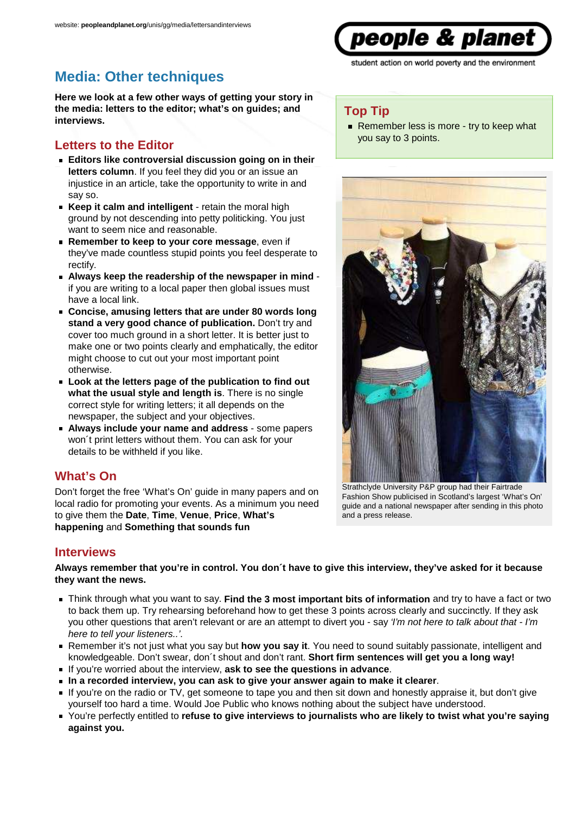

Remember less is more - try to keep what

**Top Tip**

you say to 3 points.

# **Media: Other techniques**

**Here we look at a few other ways of getting your story in the media: letters to the editor; what's on guides; and interviews.**

### **Letters to the Editor**

- **Editors like controversial discussion going on in their letters column**. If you feel they did you or an issue an injustice in an article, take the opportunity to write in and say so.
- **Keep it calm and intelligent** retain the moral high ground by not descending into petty politicking. You just want to seem nice and reasonable.
- **Remember to keep to your core message**, even if they've made countless stupid points you feel desperate to rectify.
- **Always keep the readership of the newspaper in mind** if you are writing to a local paper then global issues must have a local link.
- **Concise, amusing letters that are under 80 words long stand a very good chance of publication.** Don't try and cover too much ground in a short letter. It is better just to make one or two points clearly and emphatically, the editor might choose to cut out your most important point otherwise.
- **Look at the letters page of the publication to find out what the usual style and length is**. There is no single correct style for writing letters; it all depends on the newspaper, the subject and your objectives.
- **Always include your name and address** some papers won't print letters without them. You can ask for your details to be withheld if you like.

### **What's On**

Don't forget the free 'What's On' guide in many papers and on local radio for promoting your events. As a minimum you need to give them the **Date**, **Time**, **Venue**, **Price**, **What's happening** and **Something that sounds fun**

#### **Interviews**

**Always remember that you're in control. You don´t have to give this interview, they've asked for it because they want the news.**

- Think through what you want to say. **Find the 3 most important bits of information** and try to have a fact or two to back them up. Try rehearsing beforehand how to get these 3 points across clearly and succinctly. If they ask you other questions that aren't relevant or are an attempt to divert you - say 'I'm not here to talk about that - I'm here to tell your listeners..'.
- Remember it's not just what you say but **how you say it**. You need to sound suitably passionate, intelligent and knowledgeable. Don't swear, don´t shout and don't rant. **Short firm sentences will get you a long way!**
- If you're worried about the interview, **ask to see the questions in advance**.
- **In a recorded interview, you can ask to give your answer again to make it clearer**.
- If you're on the radio or TV, get someone to tape you and then sit down and honestly appraise it, but don't give yourself too hard a time. Would Joe Public who knows nothing about the subject have understood.
- You're perfectly entitled to **refuse to give interviews to journalists who are likely to twist what you're saying against you.**

Strathclyde University P&P group had their Fairtrade Fashion Show publicised in Scotland's largest 'What's On' guide and a national newspaper after sending in this photo and a press release.